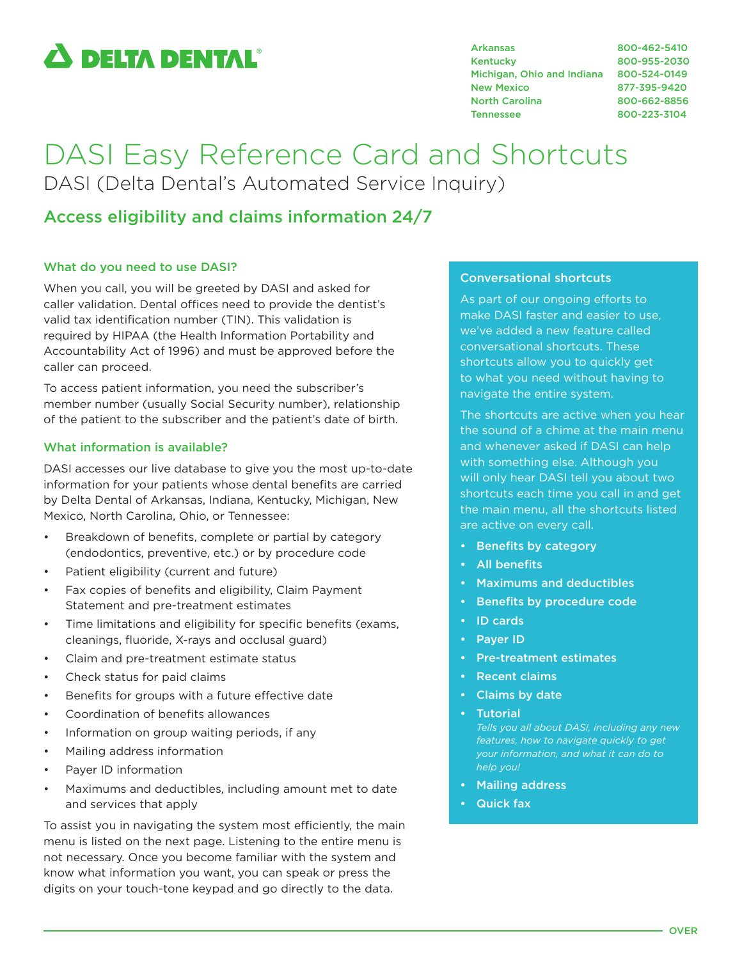# $\boldsymbol{\Delta}$  delta dental $^{\circ}$

Arkansas 800-462-5410 Kentucky 800-955-2030 Michigan, Ohio and Indiana 800-524-0149 New Mexico 877-395-9420 North Carolina 800-662-8856 Tennessee 800-223-3104

## DASI Easy Reference Card and Shortcuts DASI (Delta Dental's Automated Service Inquiry)

### Access eligibility and claims information 24/7

#### What do you need to use DASI?

When you call, you will be greeted by DASI and asked for caller validation. Dental offices need to provide the dentist's valid tax identification number (TIN). This validation is required by HIPAA (the Health Information Portability and Accountability Act of 1996) and must be approved before the caller can proceed.

To access patient information, you need the subscriber's member number (usually Social Security number), relationship of the patient to the subscriber and the patient's date of birth.

#### What information is available?

DASI accesses our live database to give you the most up-to-date information for your patients whose dental benefits are carried by Delta Dental of Arkansas, Indiana, Kentucky, Michigan, New Mexico, North Carolina, Ohio, or Tennessee:

- Breakdown of benefits, complete or partial by category (endodontics, preventive, etc.) or by procedure code
- Patient eligibility (current and future)
- Fax copies of benefits and eligibility, Claim Payment Statement and pre-treatment estimates
- Time limitations and eligibility for specific benefits (exams, cleanings, fluoride, X-rays and occlusal guard)
- Claim and pre-treatment estimate status
- Check status for paid claims
- Benefits for groups with a future effective date
- Coordination of benefits allowances
- Information on group waiting periods, if any
- Mailing address information
- Payer ID information
- Maximums and deductibles, including amount met to date and services that apply

To assist you in navigating the system most efficiently, the main menu is listed on the next page. Listening to the entire menu is not necessary. Once you become familiar with the system and know what information you want, you can speak or press the digits on your touch-tone keypad and go directly to the data.

#### Conversational shortcuts

As part of our ongoing efforts to make DASI faster and easier to use, we've added a new feature called conversational shortcuts. These shortcuts allow you to quickly get to what you need without having to navigate the entire system.

The shortcuts are active when you hear the sound of a chime at the main menu and whenever asked if DASI can help with something else. Although you will only hear DASI tell you about two shortcuts each time you call in and get the main menu, all the shortcuts listed are active on every call.

- Benefits by category
- All benefits
- Maximums and deductibles
- Benefits by procedure code
- ID cards
- Payer ID
- Pre-treatment estimates
- Recent claims
- Claims by date
- Tutorial

*Tells you all about DASI, including any new features, how to navigate quickly to get your information, and what it can do to help you!*

- Mailing address
- Quick fax